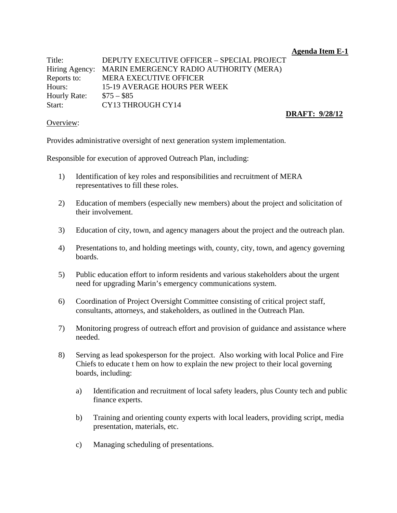**Agenda Item E-1** 

Title: DEPUTY EXECUTIVE OFFICER – SPECIAL PROJECT Hiring Agency: MARIN EMERGENCY RADIO AUTHORITY (MERA) Reports to: MERA EXECUTIVE OFFICER Hours: 15-19 AVERAGE HOURS PER WEEK Hourly Rate:  $$75 - $85$ Start: CY13 THROUGH CY14

## **DRAFT: 9/28/12**

## Overview:

Provides administrative oversight of next generation system implementation.

Responsible for execution of approved Outreach Plan, including:

- 1) Identification of key roles and responsibilities and recruitment of MERA representatives to fill these roles.
- 2) Education of members (especially new members) about the project and solicitation of their involvement.
- 3) Education of city, town, and agency managers about the project and the outreach plan.
- 4) Presentations to, and holding meetings with, county, city, town, and agency governing boards.
- 5) Public education effort to inform residents and various stakeholders about the urgent need for upgrading Marin's emergency communications system.
- 6) Coordination of Project Oversight Committee consisting of critical project staff, consultants, attorneys, and stakeholders, as outlined in the Outreach Plan.
- 7) Monitoring progress of outreach effort and provision of guidance and assistance where needed.
- 8) Serving as lead spokesperson for the project. Also working with local Police and Fire Chiefs to educate t hem on how to explain the new project to their local governing boards, including:
	- a) Identification and recruitment of local safety leaders, plus County tech and public finance experts.
	- b) Training and orienting county experts with local leaders, providing script, media presentation, materials, etc.
	- c) Managing scheduling of presentations.